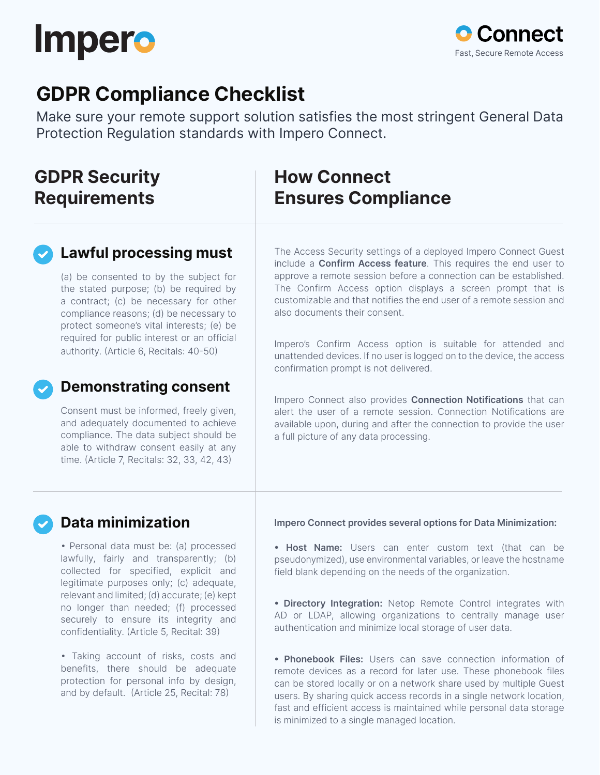



## **GDPR Compliance Checklist**

Make sure your remote support solution satisfies the most stringent General Data Protection Regulation standards with Impero Connect.

### **GDPR Security Requirements**

### **How Connect Ensures Compliance**

#### **Lawful processing must**

(a) be consented to by the subject for the stated purpose; (b) be required by a contract; (c) be necessary for other compliance reasons; (d) be necessary to protect someone's vital interests; (e) be required for public interest or an official authority. (Article 6, Recitals: 40-50)

#### The Access Security settings of a deployed Impero Connect Guest include a **Confirm Access feature**. This requires the end user to approve a remote session before a connection can be established. The Confirm Access option displays a screen prompt that is customizable and that notifies the end user of a remote session and also documents their consent.

Impero's Confirm Access option is suitable for attended and unattended devices. If no user is logged on to the device, the access confirmation prompt is not delivered.

Impero Connect also provides **Connection Notifications** that can alert the user of a remote session. Connection Notifications are available upon, during and after the connection to provide the user a full picture of any data processing.

#### Consent must be informed, freely given,

**Demonstrating consent**

and adequately documented to achieve compliance. The data subject should be able to withdraw consent easily at any time. (Article 7, Recitals: 32, 33, 42, 43)

#### **Data minimization**

• Personal data must be: (a) processed lawfully, fairly and transparently; (b) collected for specified, explicit and legitimate purposes only; (c) adequate, relevant and limited; (d) accurate; (e) kept no longer than needed; (f) processed securely to ensure its integrity and confidentiality. (Article 5, Recital: 39)

• Taking account of risks, costs and benefits, there should be adequate protection for personal info by design, and by default. (Article 25, Recital: 78)

**Impero Connect provides several options for Data Minimization:**

**• Host Name:** Users can enter custom text (that can be pseudonymized), use environmental variables, or leave the hostname field blank depending on the needs of the organization.

**• Directory Integration:** Netop Remote Control integrates with AD or LDAP, allowing organizations to centrally manage user authentication and minimize local storage of user data.

**• Phonebook Files:** Users can save connection information of remote devices as a record for later use. These phonebook files can be stored locally or on a network share used by multiple Guest users. By sharing quick access records in a single network location, fast and efficient access is maintained while personal data storage is minimized to a single managed location.